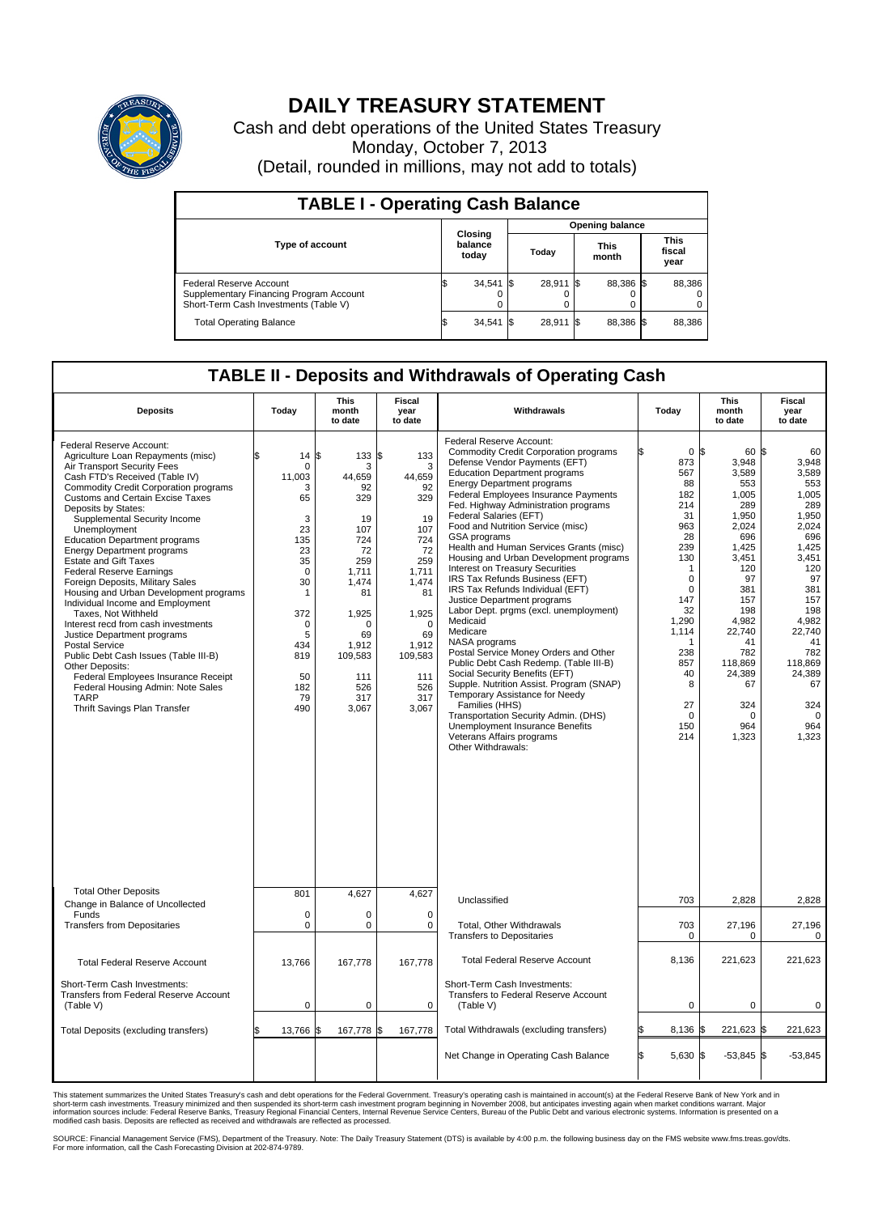

## **DAILY TREASURY STATEMENT**

Cash and debt operations of the United States Treasury Monday, October 7, 2013 (Detail, rounded in millions, may not add to totals)

| <b>TABLE I - Operating Cash Balance</b>                                                                     |    |                             |      |           |  |                      |  |                               |  |  |
|-------------------------------------------------------------------------------------------------------------|----|-----------------------------|------|-----------|--|----------------------|--|-------------------------------|--|--|
|                                                                                                             |    | <b>Opening balance</b>      |      |           |  |                      |  |                               |  |  |
| Type of account                                                                                             |    | Closing<br>balance<br>today |      | Today     |  | <b>This</b><br>month |  | <b>This</b><br>fiscal<br>year |  |  |
| Federal Reserve Account<br>Supplementary Financing Program Account<br>Short-Term Cash Investments (Table V) |    | 34,541                      | - IS | 28,911 \$ |  | 88,386 \$            |  | 88,386                        |  |  |
| <b>Total Operating Balance</b>                                                                              | ß. | 34,541                      | - IS | 28,911 \$ |  | 88,386 \$            |  | 88,386                        |  |  |

## **TABLE II - Deposits and Withdrawals of Operating Cash**

| <b>Deposits</b>                                                                                                                                                                                                                                                                                                                                                                                                                                                                                                                                                                                                                                                                                                                                                                                                                                                                  | Today                                                                                                                                                                        | This<br>month<br>to date                                                                                                                                        | Fiscal<br>year<br>to date                                                                                                                                                   | Withdrawals                                                                                                                                                                                                                                                                                                                                                                                                                                                                                                                                                                                                                                                                                                                                                                                                                                                                                                                                                                                                              | Today                                                                                                                                                                                                                     | <b>This</b><br>month<br>to date                                                                                                                                                                                           | Fiscal<br>year<br>to date                                                                                                                                                                                                 |
|----------------------------------------------------------------------------------------------------------------------------------------------------------------------------------------------------------------------------------------------------------------------------------------------------------------------------------------------------------------------------------------------------------------------------------------------------------------------------------------------------------------------------------------------------------------------------------------------------------------------------------------------------------------------------------------------------------------------------------------------------------------------------------------------------------------------------------------------------------------------------------|------------------------------------------------------------------------------------------------------------------------------------------------------------------------------|-----------------------------------------------------------------------------------------------------------------------------------------------------------------|-----------------------------------------------------------------------------------------------------------------------------------------------------------------------------|--------------------------------------------------------------------------------------------------------------------------------------------------------------------------------------------------------------------------------------------------------------------------------------------------------------------------------------------------------------------------------------------------------------------------------------------------------------------------------------------------------------------------------------------------------------------------------------------------------------------------------------------------------------------------------------------------------------------------------------------------------------------------------------------------------------------------------------------------------------------------------------------------------------------------------------------------------------------------------------------------------------------------|---------------------------------------------------------------------------------------------------------------------------------------------------------------------------------------------------------------------------|---------------------------------------------------------------------------------------------------------------------------------------------------------------------------------------------------------------------------|---------------------------------------------------------------------------------------------------------------------------------------------------------------------------------------------------------------------------|
| Federal Reserve Account:<br>Agriculture Loan Repayments (misc)<br>Air Transport Security Fees<br>Cash FTD's Received (Table IV)<br><b>Commodity Credit Corporation programs</b><br><b>Customs and Certain Excise Taxes</b><br>Deposits by States:<br>Supplemental Security Income<br>Unemployment<br><b>Education Department programs</b><br><b>Energy Department programs</b><br><b>Estate and Gift Taxes</b><br><b>Federal Reserve Earnings</b><br>Foreign Deposits, Military Sales<br>Housing and Urban Development programs<br>Individual Income and Employment<br>Taxes. Not Withheld<br>Interest recd from cash investments<br>Justice Department programs<br><b>Postal Service</b><br>Public Debt Cash Issues (Table III-B)<br>Other Deposits:<br>Federal Employees Insurance Receipt<br>Federal Housing Admin: Note Sales<br><b>TARP</b><br>Thrift Savings Plan Transfer | 14<br>$\mathbf 0$<br>11,003<br>3<br>65<br>3<br>23<br>135<br>23<br>35<br>$\mathbf 0$<br>30<br>$\mathbf{1}$<br>372<br>$\mathbf 0$<br>5<br>434<br>819<br>50<br>182<br>79<br>490 | \$<br>133<br>3<br>44,659<br>92<br>329<br>19<br>107<br>724<br>72<br>259<br>1,711<br>1.474<br>81<br>1,925<br>69<br>1,912<br>109,583<br>111<br>526<br>317<br>3,067 | \$<br>133<br>3<br>44,659<br>92<br>329<br>19<br>107<br>724<br>72<br>259<br>1,711<br>1,474<br>81<br>1,925<br>$\Omega$<br>69<br>1,912<br>109,583<br>111<br>526<br>317<br>3,067 | Federal Reserve Account:<br><b>Commodity Credit Corporation programs</b><br>Defense Vendor Payments (EFT)<br><b>Education Department programs</b><br><b>Energy Department programs</b><br>Federal Employees Insurance Payments<br>Fed. Highway Administration programs<br>Federal Salaries (EFT)<br>Food and Nutrition Service (misc)<br>GSA programs<br>Health and Human Services Grants (misc)<br>Housing and Urban Development programs<br>Interest on Treasury Securities<br>IRS Tax Refunds Business (EFT)<br>IRS Tax Refunds Individual (EFT)<br>Justice Department programs<br>Labor Dept. prgms (excl. unemployment)<br>Medicaid<br>Medicare<br>NASA programs<br>Postal Service Money Orders and Other<br>Public Debt Cash Redemp. (Table III-B)<br>Social Security Benefits (EFT)<br>Supple. Nutrition Assist. Program (SNAP)<br>Temporary Assistance for Needy<br>Families (HHS)<br>Transportation Security Admin. (DHS)<br>Unemployment Insurance Benefits<br>Veterans Affairs programs<br>Other Withdrawals: | 0 <sup>5</sup><br>873<br>567<br>88<br>182<br>214<br>31<br>963<br>28<br>239<br>130<br>$\mathbf 1$<br>$\mathbf 0$<br>$\Omega$<br>147<br>32<br>1,290<br>1,114<br>-1<br>238<br>857<br>40<br>8<br>27<br>$\Omega$<br>150<br>214 | 60 \$<br>3,948<br>3.589<br>553<br>1,005<br>289<br>1.950<br>2,024<br>696<br>1,425<br>3,451<br>120<br>97<br>381<br>157<br>198<br>4.982<br>22,740<br>41<br>782<br>118.869<br>24,389<br>67<br>324<br>$\Omega$<br>964<br>1,323 | 60<br>3,948<br>3.589<br>553<br>1,005<br>289<br>1.950<br>2,024<br>696<br>1,425<br>3,451<br>120<br>97<br>381<br>157<br>198<br>4,982<br>22.740<br>41<br>782<br>118.869<br>24,389<br>67<br>324<br>$\mathbf 0$<br>964<br>1,323 |
| <b>Total Other Deposits</b><br>Change in Balance of Uncollected                                                                                                                                                                                                                                                                                                                                                                                                                                                                                                                                                                                                                                                                                                                                                                                                                  | 801                                                                                                                                                                          | 4,627                                                                                                                                                           | 4,627                                                                                                                                                                       | Unclassified                                                                                                                                                                                                                                                                                                                                                                                                                                                                                                                                                                                                                                                                                                                                                                                                                                                                                                                                                                                                             | 703                                                                                                                                                                                                                       | 2,828                                                                                                                                                                                                                     | 2,828                                                                                                                                                                                                                     |
| Funds<br><b>Transfers from Depositaries</b>                                                                                                                                                                                                                                                                                                                                                                                                                                                                                                                                                                                                                                                                                                                                                                                                                                      | $\mathbf 0$<br>0                                                                                                                                                             | $\mathbf 0$<br>$\pmb{0}$                                                                                                                                        | $\mathbf 0$<br>$\mathbf 0$                                                                                                                                                  | Total, Other Withdrawals<br><b>Transfers to Depositaries</b>                                                                                                                                                                                                                                                                                                                                                                                                                                                                                                                                                                                                                                                                                                                                                                                                                                                                                                                                                             | 703<br>0                                                                                                                                                                                                                  | 27,196<br>0                                                                                                                                                                                                               | 27,196<br>0                                                                                                                                                                                                               |
| <b>Total Federal Reserve Account</b>                                                                                                                                                                                                                                                                                                                                                                                                                                                                                                                                                                                                                                                                                                                                                                                                                                             | 13,766                                                                                                                                                                       | 167,778                                                                                                                                                         | 167,778                                                                                                                                                                     | <b>Total Federal Reserve Account</b>                                                                                                                                                                                                                                                                                                                                                                                                                                                                                                                                                                                                                                                                                                                                                                                                                                                                                                                                                                                     | 8,136                                                                                                                                                                                                                     | 221,623                                                                                                                                                                                                                   | 221,623                                                                                                                                                                                                                   |
| Short-Term Cash Investments:<br>Transfers from Federal Reserve Account<br>(Table V)                                                                                                                                                                                                                                                                                                                                                                                                                                                                                                                                                                                                                                                                                                                                                                                              | $\mathbf 0$                                                                                                                                                                  | $\mathbf 0$                                                                                                                                                     | $\mathbf 0$                                                                                                                                                                 | Short-Term Cash Investments:<br>Transfers to Federal Reserve Account<br>(Table V)                                                                                                                                                                                                                                                                                                                                                                                                                                                                                                                                                                                                                                                                                                                                                                                                                                                                                                                                        | $\mathbf 0$                                                                                                                                                                                                               | $\mathbf 0$                                                                                                                                                                                                               | 0                                                                                                                                                                                                                         |
| Total Deposits (excluding transfers)                                                                                                                                                                                                                                                                                                                                                                                                                                                                                                                                                                                                                                                                                                                                                                                                                                             | 13,766                                                                                                                                                                       | 167,778<br>l\$                                                                                                                                                  | \$<br>167,778                                                                                                                                                               | Total Withdrawals (excluding transfers)                                                                                                                                                                                                                                                                                                                                                                                                                                                                                                                                                                                                                                                                                                                                                                                                                                                                                                                                                                                  | 8,136 \$                                                                                                                                                                                                                  | 221,623 \$                                                                                                                                                                                                                | 221,623                                                                                                                                                                                                                   |
|                                                                                                                                                                                                                                                                                                                                                                                                                                                                                                                                                                                                                                                                                                                                                                                                                                                                                  |                                                                                                                                                                              |                                                                                                                                                                 |                                                                                                                                                                             | Net Change in Operating Cash Balance                                                                                                                                                                                                                                                                                                                                                                                                                                                                                                                                                                                                                                                                                                                                                                                                                                                                                                                                                                                     | 5,630 \$<br>ß.                                                                                                                                                                                                            | $-53,845$ \$                                                                                                                                                                                                              | $-53,845$                                                                                                                                                                                                                 |

This statement summarizes the United States Treasury's cash and debt operations for the Federal Government. Treasury's operating cash is maintained in account(s) at the Federal Reserve Bank of New York and in<br>short-term ca

SOURCE: Financial Management Service (FMS), Department of the Treasury. Note: The Daily Treasury Statement (DTS) is available by 4:00 p.m. the following business day on the FMS website www.fms.treas.gov/dts.<br>For more infor